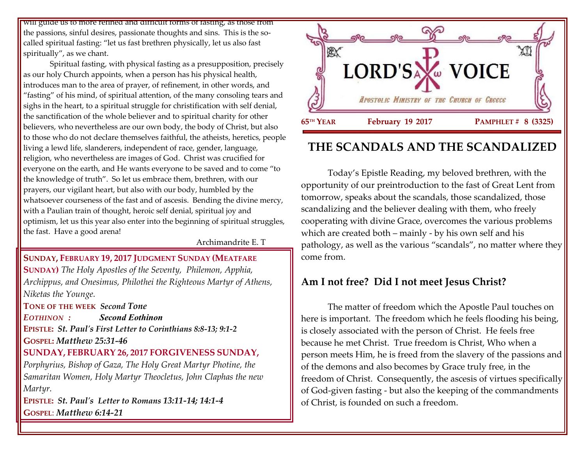will guide us to more refined and difficult forms of fasting, as those from the passions, sinful desires, passionate thoughts and sins. This is the socalled spiritual fasting: "let us fast brethren physically, let us also fast spiritually", as we chant.

Spiritual fasting, with physical fasting as a presupposition, precisely as our holy Church appoints, when a person has his physical health, introduces man to the area of prayer, of refinement, in other words, and "fasting" of his mind, of spiritual attention, of the many consoling tears and sighs in the heart, to a spiritual struggle for christification with self denial, the sanctification of the whole believer and to spiritual charity for other believers, who nevertheless are our own body, the body of Christ, but also to those who do not declare themselves faithful, the atheists, heretics, people living a lewd life, slanderers, independent of race, gender, language, religion, who nevertheless are images of God. Christ was crucified for everyone on the earth, and He wants everyone to be saved and to come "to the knowledge of truth". So let us embrace them, brethren, with our prayers, our vigilant heart, but also with our body, humbled by the whatsoever courseness of the fast and of ascesis. Bending the divine mercy, with a Paulian train of thought, heroic self denial, spiritual joy and optimism, let us this year also enter into the beginning of spiritual struggles, the fast. Have a good arena!

Archimandrite E. T

**SUNDAY, FEBRUARY 19, 2017 JUDGMENT SUNDAY (MEATFARE SUNDAY)** *The Holy Apostles of the Seventy, Philemon, Apphia, Archippus, and Onesimus, Philothei the Righteous Martyr of Athens, Niketas the Younge.*

**TONE OF THE WEEK** *Second Tone*

*EOTHINON : Second Eothinon* **EPISTLE:** *St. Paul's First Letter to Corinthians 8:8-13; 9:1-2* **GOSPEL:** *Matthew 25:31-46*

#### **SUNDAY, FEBRUARY 26, 2017 FORGIVENESS SUNDAY,**

*Porphyrius, Bishop of Gaza, The Holy Great Martyr Photine, the Samaritan Women, Holy Martyr Theocletus, John Claphas the new Martyr.*

**EPISTLE:** *St. Paul's Letter to Romans 13:11-14; 14:1-4* **GOSPEL**: *Matthew 6:14-21*



# **THE SCANDALS AND THE SCANDALIZED**

Today's Epistle Reading, my beloved brethren, with the opportunity of our preintroduction to the fast of Great Lent from tomorrow, speaks about the scandals, those scandalized, those scandalizing and the believer dealing with them, who freely cooperating with divine Grace, overcomes the various problems which are created both – mainly - by his own self and his pathology, as well as the various "scandals", no matter where they come from.

## **Am I not free? Did I not meet Jesus Christ?**

The matter of freedom which the Apostle Paul touches on here is important. The freedom which he feels flooding his being, is closely associated with the person of Christ. He feels free because he met Christ. True freedom is Christ, Who when a person meets Him, he is freed from the slavery of the passions and of the demons and also becomes by Grace truly free, in the freedom of Christ. Consequently, the ascesis of virtues specifically of God-given fasting - but also the keeping of the commandments of Christ, is founded on such a freedom.